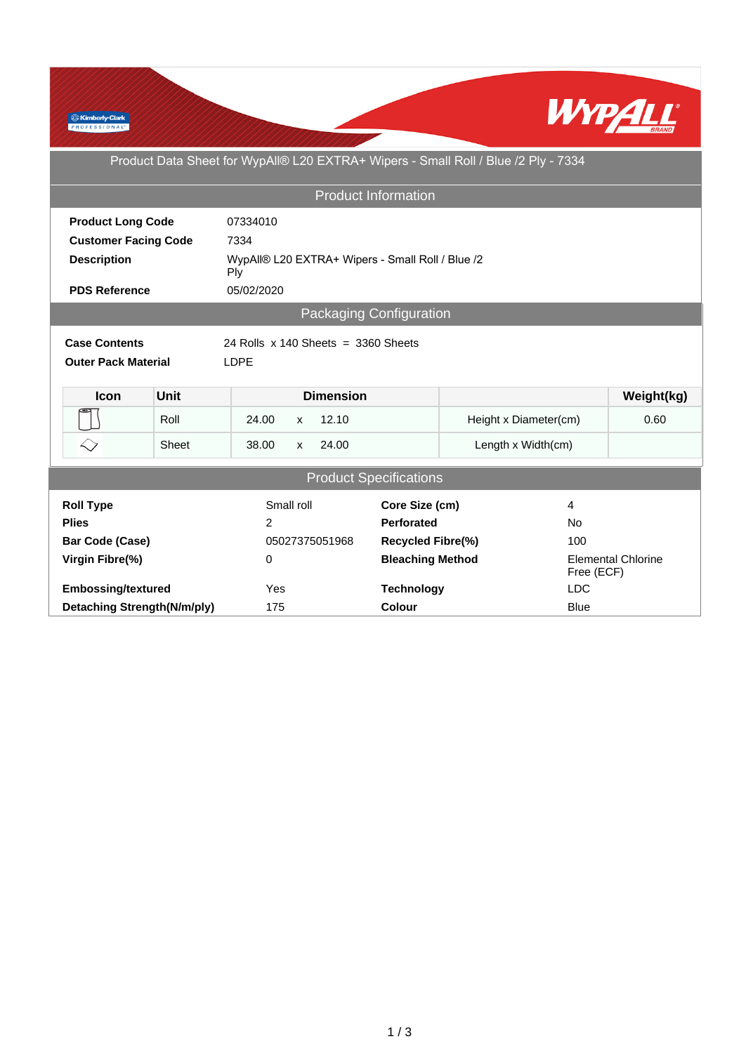

Product Data Sheet for WypAll® L20 EXTRA+ Wipers - Small Roll / Blue /2 Ply - 7334

| <b>Product Information</b>                                    |       |                                                         |  |                   |                         |                       |                                         |            |  |
|---------------------------------------------------------------|-------|---------------------------------------------------------|--|-------------------|-------------------------|-----------------------|-----------------------------------------|------------|--|
| <b>Product Long Code</b>                                      |       | 07334010                                                |  |                   |                         |                       |                                         |            |  |
| <b>Customer Facing Code</b>                                   |       | 7334                                                    |  |                   |                         |                       |                                         |            |  |
| <b>Description</b>                                            |       | WypAll® L20 EXTRA+ Wipers - Small Roll / Blue /2<br>Ply |  |                   |                         |                       |                                         |            |  |
| <b>PDS Reference</b>                                          |       | 05/02/2020                                              |  |                   |                         |                       |                                         |            |  |
| Packaging Configuration                                       |       |                                                         |  |                   |                         |                       |                                         |            |  |
| <b>Case Contents</b><br>24 Rolls $x$ 140 Sheets = 3360 Sheets |       |                                                         |  |                   |                         |                       |                                         |            |  |
| <b>Outer Pack Material</b>                                    |       | <b>LDPE</b>                                             |  |                   |                         |                       |                                         |            |  |
|                                                               |       |                                                         |  |                   |                         |                       |                                         |            |  |
| <b>Unit</b><br><b>Icon</b>                                    |       |                                                         |  | <b>Dimension</b>  |                         |                       |                                         | Weight(kg) |  |
| Roll                                                          |       | 12.10<br>24.00<br>$\mathsf{x}$                          |  |                   |                         | Height x Diameter(cm) |                                         | 0.60       |  |
| $\leftrightarrow$                                             | Sheet | 38.00<br>24.00<br>$\mathsf{x}$                          |  |                   |                         | Length x Width(cm)    |                                         |            |  |
| <b>Product Specifications</b>                                 |       |                                                         |  |                   |                         |                       |                                         |            |  |
|                                                               |       |                                                         |  |                   |                         |                       |                                         |            |  |
| <b>Roll Type</b>                                              |       | Small roll                                              |  | Core Size (cm)    |                         | 4                     |                                         |            |  |
| <b>Plies</b>                                                  |       | 2                                                       |  | <b>Perforated</b> |                         | <b>No</b>             |                                         |            |  |
| <b>Bar Code (Case)</b>                                        |       | 05027375051968                                          |  | Recycled Fibre(%) |                         | 100                   |                                         |            |  |
| Virgin Fibre(%)                                               |       | 0                                                       |  |                   | <b>Bleaching Method</b> |                       | <b>Elemental Chlorine</b><br>Free (ECF) |            |  |
| <b>Embossing/textured</b>                                     |       | Yes                                                     |  |                   | <b>Technology</b>       |                       | <b>LDC</b>                              |            |  |
| Detaching Strength(N/m/ply)                                   |       | 175                                                     |  | Colour            |                         | <b>Blue</b>           |                                         |            |  |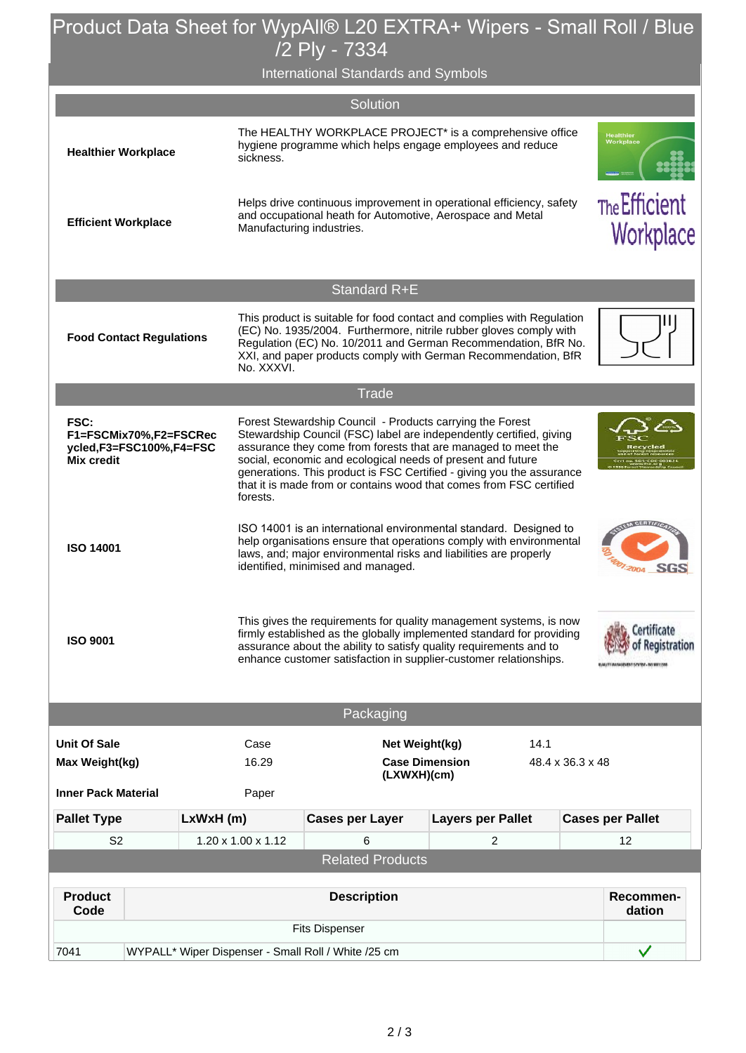## Product Data Sheet for WypAll® L20 EXTRA+ Wipers - Small Roll / Blue /2 Ply - 7334

International Standards and Symbols

|                                                                                |                                                     |                                                                                                                                                                                                                                                                                                                                                                                                                              |                                                                                                                                                                                                                                                                                                |                        | Solution            |                          |      |              |                                                                      |  |
|--------------------------------------------------------------------------------|-----------------------------------------------------|------------------------------------------------------------------------------------------------------------------------------------------------------------------------------------------------------------------------------------------------------------------------------------------------------------------------------------------------------------------------------------------------------------------------------|------------------------------------------------------------------------------------------------------------------------------------------------------------------------------------------------------------------------------------------------------------------------------------------------|------------------------|---------------------|--------------------------|------|--------------|----------------------------------------------------------------------|--|
| <b>Healthier Workplace</b>                                                     |                                                     |                                                                                                                                                                                                                                                                                                                                                                                                                              | The HEALTHY WORKPLACE PROJECT* is a comprehensive office<br>hygiene programme which helps engage employees and reduce<br>sickness.                                                                                                                                                             |                        |                     |                          |      |              | <b>Healthier</b><br>Workplace                                        |  |
| <b>Efficient Workplace</b>                                                     |                                                     |                                                                                                                                                                                                                                                                                                                                                                                                                              | Helps drive continuous improvement in operational efficiency, safety<br>and occupational heath for Automotive, Aerospace and Metal<br>Manufacturing industries.                                                                                                                                |                        |                     |                          |      |              | The Efficient<br>Workplace                                           |  |
|                                                                                |                                                     |                                                                                                                                                                                                                                                                                                                                                                                                                              |                                                                                                                                                                                                                                                                                                |                        | <b>Standard R+E</b> |                          |      |              |                                                                      |  |
|                                                                                | <b>Food Contact Regulations</b>                     |                                                                                                                                                                                                                                                                                                                                                                                                                              | This product is suitable for food contact and complies with Regulation<br>(EC) No. 1935/2004. Furthermore, nitrile rubber gloves comply with<br>Regulation (EC) No. 10/2011 and German Recommendation, BfR No.<br>XXI, and paper products comply with German Recommendation, BfR<br>No. XXXVI. |                        |                     |                          |      |              |                                                                      |  |
|                                                                                |                                                     |                                                                                                                                                                                                                                                                                                                                                                                                                              |                                                                                                                                                                                                                                                                                                |                        | <b>Trade</b>        |                          |      |              |                                                                      |  |
| FSC:<br>F1=FSCMix70%,F2=FSCRec<br>ycled,F3=FSC100%,F4=FSC<br><b>Mix credit</b> |                                                     | Forest Stewardship Council - Products carrying the Forest<br>Stewardship Council (FSC) label are independently certified, giving<br>assurance they come from forests that are managed to meet the<br>social, economic and ecological needs of present and future<br>generations. This product is FSC Certified - giving you the assurance<br>that it is made from or contains wood that comes from FSC certified<br>forests. |                                                                                                                                                                                                                                                                                                |                        |                     |                          |      |              |                                                                      |  |
| <b>ISO 14001</b>                                                               |                                                     |                                                                                                                                                                                                                                                                                                                                                                                                                              | ISO 14001 is an international environmental standard. Designed to<br>help organisations ensure that operations comply with environmental<br>laws, and; major environmental risks and liabilities are properly<br>identified, minimised and managed.                                            |                        |                     |                          |      |              | <b>SGS</b>                                                           |  |
| <b>ISO 9001</b>                                                                |                                                     |                                                                                                                                                                                                                                                                                                                                                                                                                              | This gives the requirements for quality management systems, is now<br>firmly established as the globally implemented standard for providing<br>assurance about the ability to satisfy quality requirements and to<br>enhance customer satisfaction in supplier-customer relationships.         |                        |                     |                          |      |              | <b>Merky of Registration</b><br>BALLIT IMMIGRATIST SEVEN - NO BRECOM |  |
|                                                                                |                                                     |                                                                                                                                                                                                                                                                                                                                                                                                                              |                                                                                                                                                                                                                                                                                                |                        | Packaging           |                          |      |              |                                                                      |  |
| <b>Unit Of Sale</b>                                                            |                                                     |                                                                                                                                                                                                                                                                                                                                                                                                                              | Case                                                                                                                                                                                                                                                                                           | Net Weight(kg)         |                     |                          | 14.1 |              |                                                                      |  |
| Max Weight(kg)                                                                 |                                                     | 16.29<br><b>Case Dimension</b><br>(LXWXH)(cm)                                                                                                                                                                                                                                                                                                                                                                                |                                                                                                                                                                                                                                                                                                |                        |                     | 48.4 x 36.3 x 48         |      |              |                                                                      |  |
| <b>Inner Pack Material</b>                                                     |                                                     |                                                                                                                                                                                                                                                                                                                                                                                                                              |                                                                                                                                                                                                                                                                                                | Paper                  |                     |                          |      |              |                                                                      |  |
| <b>Pallet Type</b>                                                             | LxWxH (m)                                           |                                                                                                                                                                                                                                                                                                                                                                                                                              |                                                                                                                                                                                                                                                                                                | <b>Cases per Layer</b> |                     | <b>Layers per Pallet</b> |      |              | <b>Cases per Pallet</b>                                              |  |
| S <sub>2</sub>                                                                 |                                                     |                                                                                                                                                                                                                                                                                                                                                                                                                              | 1.20 x 1.00 x 1.12<br>6<br>2<br><b>Related Products</b>                                                                                                                                                                                                                                        |                        |                     |                          |      | 12           |                                                                      |  |
|                                                                                |                                                     |                                                                                                                                                                                                                                                                                                                                                                                                                              |                                                                                                                                                                                                                                                                                                |                        |                     |                          |      |              |                                                                      |  |
| <b>Product</b><br>Code                                                         |                                                     |                                                                                                                                                                                                                                                                                                                                                                                                                              | <b>Description</b>                                                                                                                                                                                                                                                                             |                        |                     |                          |      |              | Recommen-<br>dation                                                  |  |
|                                                                                | <b>Fits Dispenser</b>                               |                                                                                                                                                                                                                                                                                                                                                                                                                              |                                                                                                                                                                                                                                                                                                |                        |                     |                          |      |              |                                                                      |  |
| 7041                                                                           | WYPALL* Wiper Dispenser - Small Roll / White /25 cm |                                                                                                                                                                                                                                                                                                                                                                                                                              |                                                                                                                                                                                                                                                                                                |                        |                     |                          |      | $\checkmark$ |                                                                      |  |